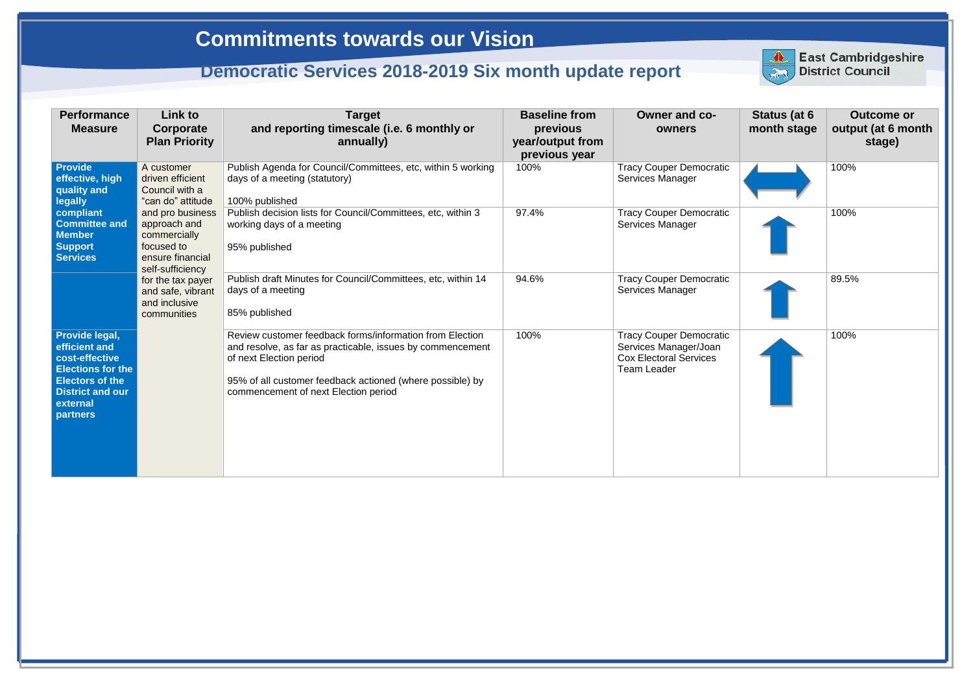| <b>Performance</b><br><b>Measure</b>                                                                                                                       | Link to<br>Corporate<br><b>Plan Priority</b>                                                           | <b>Target</b><br>and reporting timescale (i.e. 6 monthly or<br>annually)                                                                                                                                                                               | <b>Baseline from</b><br>previous<br>year/output from<br>previous year | <b>Owner and co-</b><br>owners                                                                                 |
|------------------------------------------------------------------------------------------------------------------------------------------------------------|--------------------------------------------------------------------------------------------------------|--------------------------------------------------------------------------------------------------------------------------------------------------------------------------------------------------------------------------------------------------------|-----------------------------------------------------------------------|----------------------------------------------------------------------------------------------------------------|
| <b>Provide</b><br>effective, high<br>quality and<br><b>legally</b>                                                                                         | A customer<br>driven efficient<br>Council with a<br>"can do" attitude                                  | Publish Agenda for Council/Committees, etc, within 5 working<br>days of a meeting (statutory)<br>100% published                                                                                                                                        | 100%                                                                  | <b>Tracy Couper Democratic</b><br>Services Manager                                                             |
| compliant<br><b>Committee and</b><br><b>Member</b><br><b>Support</b><br><b>Services</b>                                                                    | and pro business<br>approach and<br>commercially<br>focused to<br>ensure financial<br>self-sufficiency | Publish decision lists for Council/Committees, etc, within 3<br>working days of a meeting<br>95% published                                                                                                                                             | 97.4%                                                                 | <b>Tracy Couper Democratic</b><br><b>Services Manager</b>                                                      |
|                                                                                                                                                            | for the tax payer<br>and safe, vibrant<br>and inclusive<br>communities                                 | Publish draft Minutes for Council/Committees, etc, within 14<br>days of a meeting<br>85% published                                                                                                                                                     | 94.6%                                                                 | <b>Tracy Couper Democratic</b><br><b>Services Manager</b>                                                      |
| Provide legal,<br>efficient and<br>cost-effective<br><b>Elections for the</b><br><b>Electors of the</b><br><b>District and our</b><br>external<br>partners |                                                                                                        | Review customer feedback forms/information from Election<br>and resolve, as far as practicable, issues by commencement<br>of next Election period<br>95% of all customer feedback actioned (where possible) by<br>commencement of next Election period | 100%                                                                  | <b>Tracy Couper Democratic</b><br>Services Manager/Joan<br><b>Cox Electoral Services</b><br><b>Team Leader</b> |



| <b>Status (at 6</b><br>month stage | <b>Outcome or</b><br>output (at 6 month<br>stage) |
|------------------------------------|---------------------------------------------------|
|                                    | 100%                                              |
|                                    | 100%                                              |
|                                    | 89.5%                                             |
|                                    | 100%                                              |

## **Commitments towards our Vision**

## **Democratic Services 2018-2019 Six month update report**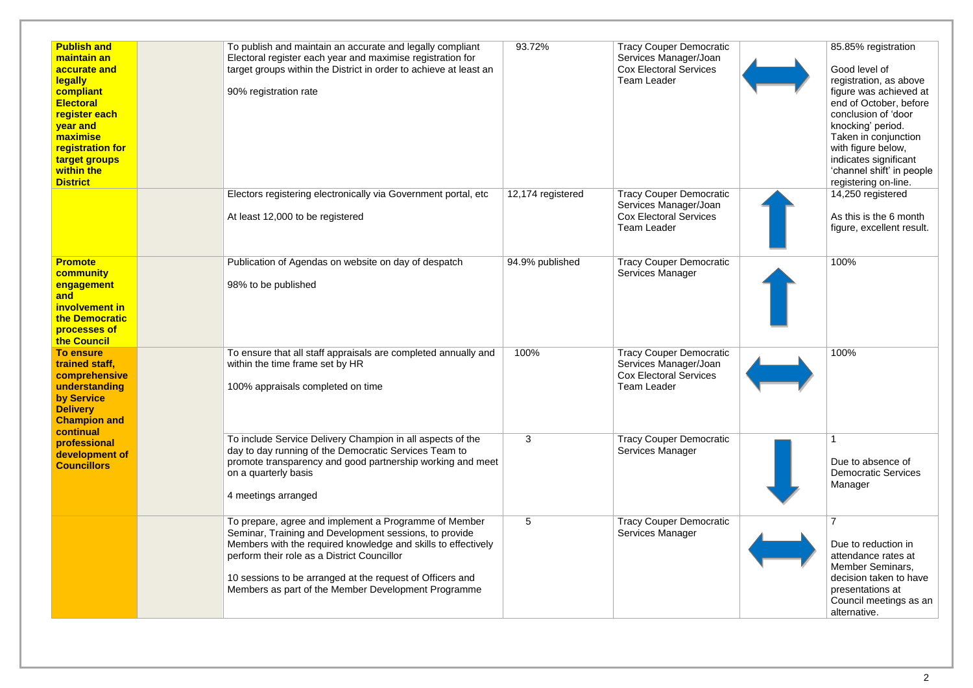| <b>Publish and</b><br>maintain an<br>accurate and<br><b>legally</b><br>compliant<br><b>Electoral</b><br>register each<br>year and<br>maximise<br>registration for<br>target groups<br>within the<br><b>District</b> | To publish and maintain an accurate and legally compliant<br>Electoral register each year and maximise registration for<br>target groups within the District in order to achieve at least an<br>90% registration rate                                                                                                                               | 93.72%            | <b>Tracy Couper Democratic</b><br>Services Manager/Joan<br><b>Cox Electoral Services</b><br><b>Team Leader</b> |  |
|---------------------------------------------------------------------------------------------------------------------------------------------------------------------------------------------------------------------|-----------------------------------------------------------------------------------------------------------------------------------------------------------------------------------------------------------------------------------------------------------------------------------------------------------------------------------------------------|-------------------|----------------------------------------------------------------------------------------------------------------|--|
|                                                                                                                                                                                                                     | Electors registering electronically via Government portal, etc<br>At least 12,000 to be registered                                                                                                                                                                                                                                                  | 12,174 registered | <b>Tracy Couper Democratic</b><br>Services Manager/Joan<br><b>Cox Electoral Services</b><br><b>Team Leader</b> |  |
| <b>Promote</b><br>community<br>engagement<br>and<br>involvement in<br>the Democratic<br>processes of<br>the Council                                                                                                 | Publication of Agendas on website on day of despatch<br>98% to be published                                                                                                                                                                                                                                                                         | 94.9% published   | <b>Tracy Couper Democratic</b><br>Services Manager                                                             |  |
| <b>To ensure</b><br>trained staff,<br>comprehensive<br>understanding<br>by Service<br><b>Delivery</b><br><b>Champion and</b>                                                                                        | To ensure that all staff appraisals are completed annually and<br>within the time frame set by HR<br>100% appraisals completed on time                                                                                                                                                                                                              | 100%              | <b>Tracy Couper Democratic</b><br>Services Manager/Joan<br><b>Cox Electoral Services</b><br><b>Team Leader</b> |  |
| continual<br>professional<br>development of<br><b>Councillors</b>                                                                                                                                                   | To include Service Delivery Champion in all aspects of the<br>day to day running of the Democratic Services Team to<br>promote transparency and good partnership working and meet<br>on a quarterly basis<br>4 meetings arranged                                                                                                                    | 3                 | <b>Tracy Couper Democratic</b><br>Services Manager                                                             |  |
|                                                                                                                                                                                                                     | To prepare, agree and implement a Programme of Member<br>Seminar, Training and Development sessions, to provide<br>Members with the required knowledge and skills to effectively<br>perform their role as a District Councillor<br>10 sessions to be arranged at the request of Officers and<br>Members as part of the Member Development Programme | 5                 | <b>Tracy Couper Democratic</b><br>Services Manager                                                             |  |

| ocratic<br>Joan        | 85.85% registration                                                                                                                                                                                                                                                 |
|------------------------|---------------------------------------------------------------------------------------------------------------------------------------------------------------------------------------------------------------------------------------------------------------------|
| ces                    | Good level of<br>registration, as above<br>figure was achieved at<br>end of October, before<br>conclusion of 'door<br>knocking' period.<br>Taken in conjunction<br>with figure below,<br>indicates significant<br>'channel shift' in people<br>registering on-line. |
| ocratic<br>Joan        | 14,250 registered                                                                                                                                                                                                                                                   |
| ces                    | As this is the 6 month<br>figure, excellent result.                                                                                                                                                                                                                 |
| ocratic                | 100%                                                                                                                                                                                                                                                                |
| ocratic<br>Joan<br>ces | 100%                                                                                                                                                                                                                                                                |
| ocratic                | 1<br>Due to absence of<br><b>Democratic Services</b><br>Manager                                                                                                                                                                                                     |
| ocratic                | 7                                                                                                                                                                                                                                                                   |
|                        | Due to reduction in<br>attendance rates at<br>Member Seminars,<br>decision taken to have<br>presentations at<br>Council meetings as an<br>alternative.                                                                                                              |